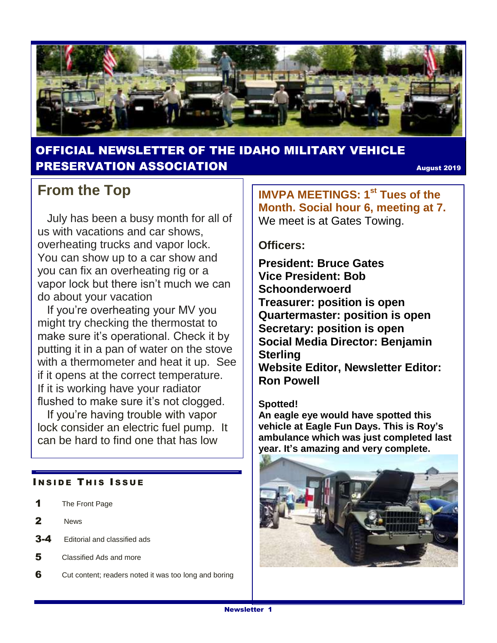

#### OFFICIAL NEWSLETTER OF THE IDAHO MILITARY VEHICLE **PRESERVATION ASSOCIATION** AND **AUGUST 2019**

## **From the Top**

 July has been a busy month for all of us with vacations and car shows, overheating trucks and vapor lock. You can show up to a car show and you can fix an overheating rig or a vapor lock but there isn't much we can do about your vacation

If you're overheating your MV you might try checking the thermostat to make sure it's operational. Check it by putting it in a pan of water on the stove with a thermometer and heat it up. See if it opens at the correct temperature. If it is working have your radiator flushed to make sure it's not clogged.

 If you're having trouble with vapor lock consider an electric fuel pump. It can be hard to find one that has low

#### **INSIDE THIS ISSUE**

- 1 The Front Page
- 2 News
- 3-4 Editorial and classified ads
- 5 Classified Ads and more
- 6 Cut content; readers noted it was too long and boring

**IMVPA MEETINGS: 1st Tues of the Month. Social hour 6, meeting at 7.**  We meet is at Gates Towing.

#### **Officers:**

**President: Bruce Gates Vice President: Bob Schoonderwoerd Treasurer: position is open Quartermaster: position is open Secretary: position is open Social Media Director: Benjamin Sterling Website Editor, Newsletter Editor: Ron Powell**

#### **Spotted!**

**An eagle eye would have spotted this vehicle at Eagle Fun Days. This is Roy's ambulance which was just completed last year. It's amazing and very complete.**

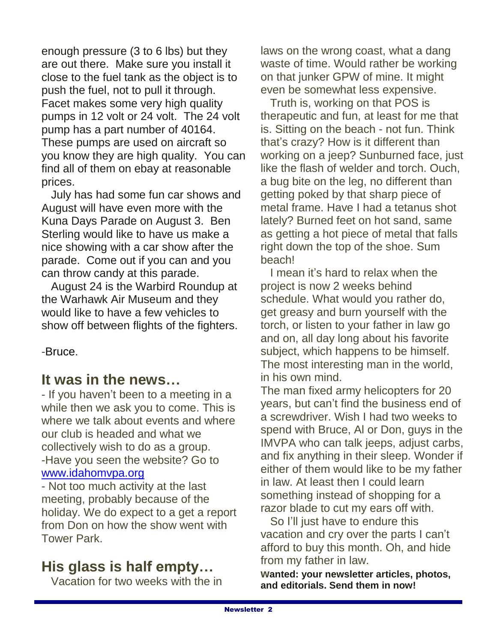enough pressure (3 to 6 lbs) but they are out there. Make sure you install it close to the fuel tank as the object is to push the fuel, not to pull it through. Facet makes some very high quality pumps in 12 volt or 24 volt. The 24 volt pump has a part number of 40164. These pumps are used on aircraft so you know they are high quality. You can find all of them on ebay at reasonable prices.

 July has had some fun car shows and August will have even more with the Kuna Days Parade on August 3. Ben Sterling would like to have us make a nice showing with a car show after the parade. Come out if you can and you can throw candy at this parade.

 August 24 is the Warbird Roundup at the Warhawk Air Museum and they would like to have a few vehicles to show off between flights of the fighters.

-Bruce.

## **It was in the news…**

- If you haven't been to a meeting in a while then we ask you to come. This is where we talk about events and where our club is headed and what we collectively wish to do as a group. -Have you seen the website? Go to [www.idahomvpa.org](http://www.idahomvpa.org/)

- Not too much activity at the last meeting, probably because of the holiday. We do expect to a get a report from Don on how the show went with Tower Park.

## **His glass is half empty…**

Vacation for two weeks with the in

laws on the wrong coast, what a dang waste of time. Would rather be working on that junker GPW of mine. It might even be somewhat less expensive.

 Truth is, working on that POS is therapeutic and fun, at least for me that is. Sitting on the beach - not fun. Think that's crazy? How is it different than working on a jeep? Sunburned face, just like the flash of welder and torch. Ouch, a bug bite on the leg, no different than getting poked by that sharp piece of metal frame. Have I had a tetanus shot lately? Burned feet on hot sand, same as getting a hot piece of metal that falls right down the top of the shoe. Sum beach!

 I mean it's hard to relax when the project is now 2 weeks behind schedule. What would you rather do, get greasy and burn yourself with the torch, or listen to your father in law go and on, all day long about his favorite subject, which happens to be himself. The most interesting man in the world, in his own mind.

The man fixed army helicopters for 20 years, but can't find the business end of a screwdriver. Wish I had two weeks to spend with Bruce, Al or Don, guys in the IMVPA who can talk jeeps, adjust carbs, and fix anything in their sleep. Wonder if either of them would like to be my father in law. At least then I could learn something instead of shopping for a razor blade to cut my ears off with.

 So I'll just have to endure this vacation and cry over the parts I can't afford to buy this month. Oh, and hide from my father in law.

**wanted: your newsletter articles, photos, and editorials. Send them in now!**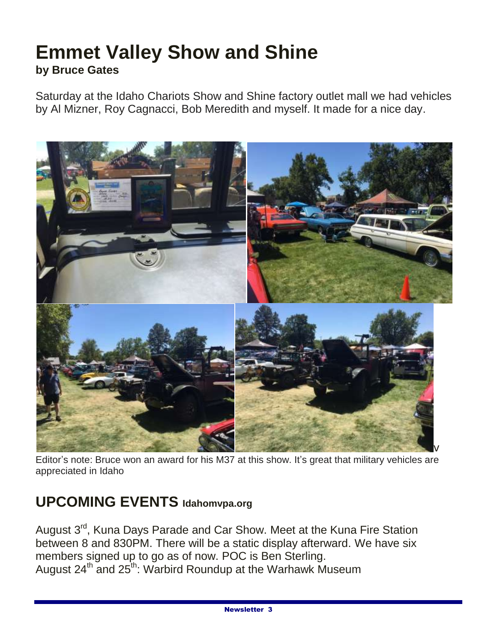# **Emmet Valley Show and Shine by Bruce Gates**

Saturday at the Idaho Chariots Show and Shine factory outlet mall we had vehicles by Al Mizner, Roy Cagnacci, Bob Meredith and myself. It made for a nice day.



Editor's note: Bruce won an award for his M37 at this show. It's great that military vehicles are appreciated in Idaho

## **UPCOMING EVENTS Idahomvpa.org**

August 3<sup>rd</sup>, Kuna Days Parade and Car Show. Meet at the Kuna Fire Station between 8 and 830PM. There will be a static display afterward. We have six members signed up to go as of now. POC is Ben Sterling. August 24<sup>th</sup> and 25<sup>th</sup>: Warbird Roundup at the Warhawk Museum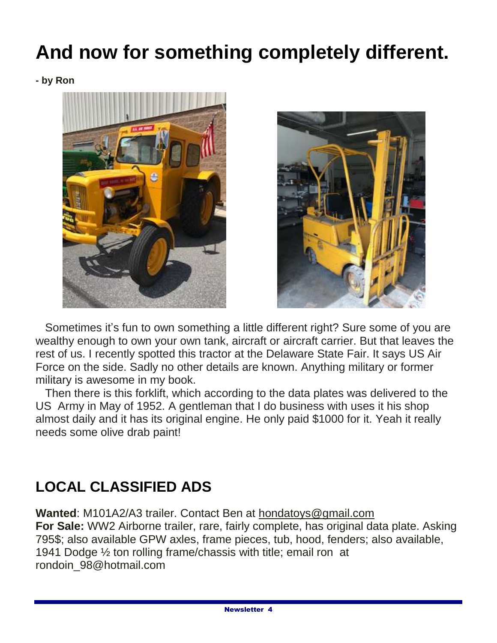# **And now for something completely different.**

**- by Ron**





 Sometimes it's fun to own something a little different right? Sure some of you are wealthy enough to own your own tank, aircraft or aircraft carrier. But that leaves the rest of us. I recently spotted this tractor at the Delaware State Fair. It says US Air Force on the side. Sadly no other details are known. Anything military or former military is awesome in my book.

 Then there is this forklift, which according to the data plates was delivered to the US Army in May of 1952. A gentleman that I do business with uses it his shop almost daily and it has its original engine. He only paid \$1000 for it. Yeah it really needs some olive drab paint!

# **LOCAL CLASSIFIED ADS**

**Wanted**: M101A2/A3 trailer. Contact Ben at hondatoys@gmail.com **For Sale:** WW2 Airborne trailer, rare, fairly complete, has original data plate. Asking 795\$; also available GPW axles, frame pieces, tub, hood, fenders; also available, 1941 Dodge ½ ton rolling frame/chassis with title; email ron at rondoin\_98@hotmail.com